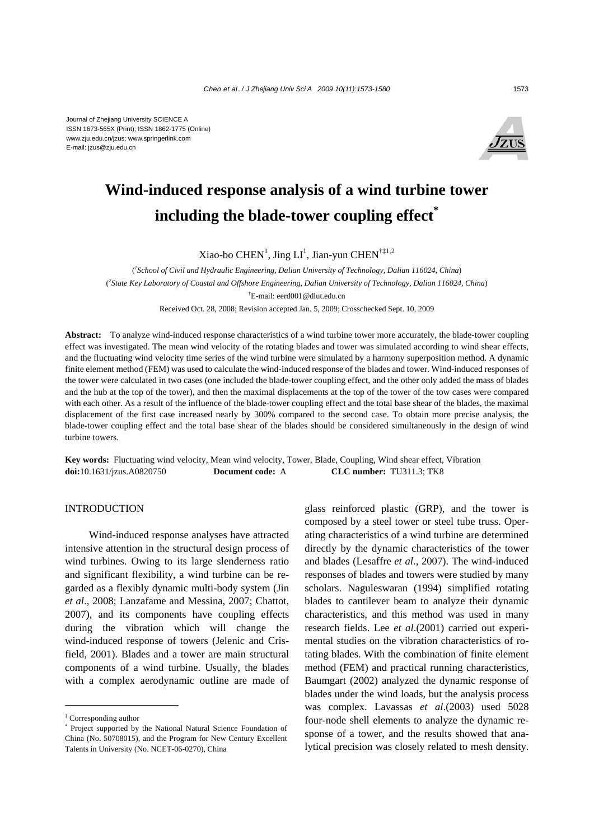

# **Wind-induced response analysis of a wind turbine tower including the blade-tower coupling effect\***

Xiao-bo CHEN<sup>1</sup>, Jing LI<sup>1</sup>, Jian-yun CHEN<sup>†‡1,2</sup>

( *1 School of Civil and Hydraulic Engineering, Dalian University of Technology, Dalian 116024, China*) ( *2 State Key Laboratory of Coastal and Offshore Engineering, Dalian University of Technology, Dalian 116024, China*) † E-mail: eerd001@dlut.edu.cn

Received Oct. 28, 2008; Revision accepted Jan. 5, 2009; Crosschecked Sept. 10, 2009

**Abstract:** To analyze wind-induced response characteristics of a wind turbine tower more accurately, the blade-tower coupling effect was investigated. The mean wind velocity of the rotating blades and tower was simulated according to wind shear effects, and the fluctuating wind velocity time series of the wind turbine were simulated by a harmony superposition method. A dynamic finite element method (FEM) was used to calculate the wind-induced response of the blades and tower. Wind-induced responses of the tower were calculated in two cases (one included the blade-tower coupling effect, and the other only added the mass of blades and the hub at the top of the tower), and then the maximal displacements at the top of the tower of the tow cases were compared with each other. As a result of the influence of the blade-tower coupling effect and the total base shear of the blades, the maximal displacement of the first case increased nearly by 300% compared to the second case. To obtain more precise analysis, the blade-tower coupling effect and the total base shear of the blades should be considered simultaneously in the design of wind turbine towers.

**Key words:** Fluctuating wind velocity, Mean wind velocity, Tower, Blade, Coupling, Wind shear effect, Vibration **doi:**10.1631/jzus.A0820750 **Document code:** A **CLC number:** TU311.3; TK8

# **INTRODUCTION**

Wind-induced response analyses have attracted intensive attention in the structural design process of wind turbines. Owing to its large slenderness ratio and significant flexibility, a wind turbine can be regarded as a flexibly dynamic multi-body system (Jin *et al*., 2008; Lanzafame and Messina, 2007; Chattot, 2007), and its components have coupling effects during the vibration which will change the wind-induced response of towers (Jelenic and Crisfield, 2001). Blades and a tower are main structural components of a wind turbine. Usually, the blades with a complex aerodynamic outline are made of glass reinforced plastic (GRP), and the tower is composed by a steel tower or steel tube truss. Operating characteristics of a wind turbine are determined directly by the dynamic characteristics of the tower and blades (Lesaffre *et al*., 2007). The wind-induced responses of blades and towers were studied by many scholars. Naguleswaran (1994) simplified rotating blades to cantilever beam to analyze their dynamic characteristics, and this method was used in many research fields. Lee *et al*.(2001) carried out experimental studies on the vibration characteristics of rotating blades. With the combination of finite element method (FEM) and practical running characteristics, Baumgart (2002) analyzed the dynamic response of blades under the wind loads, but the analysis process was complex. Lavassas *et al*.(2003) used 5028 four-node shell elements to analyze the dynamic response of a tower, and the results showed that analytical precision was closely related to mesh density.

<sup>‡</sup> Corresponding author

<sup>\*</sup> Project supported by the National Natural Science Foundation of China (No. 50708015), and the Program for New Century Excellent Talents in University (No. NCET-06-0270), China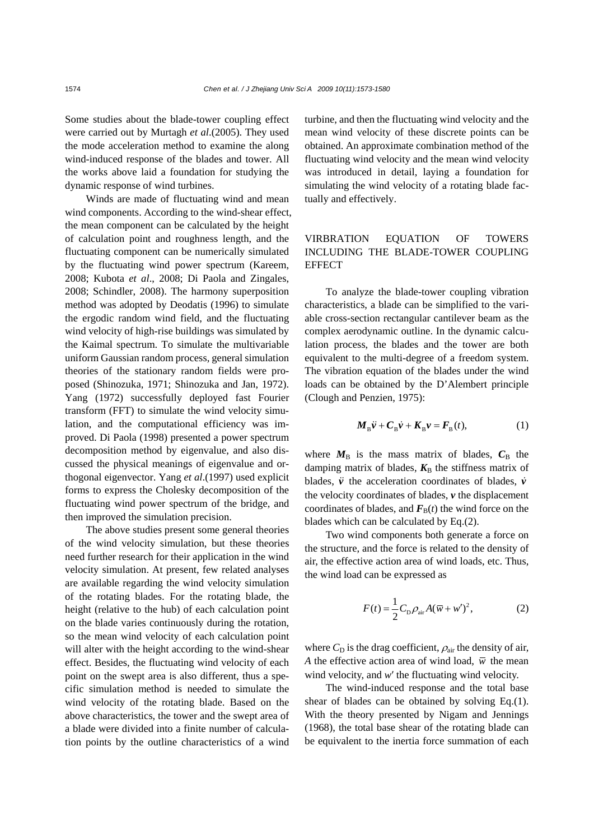Some studies about the blade-tower coupling effect were carried out by Murtagh *et al*.(2005). They used the mode acceleration method to examine the along wind-induced response of the blades and tower. All the works above laid a foundation for studying the dynamic response of wind turbines.

Winds are made of fluctuating wind and mean wind components. According to the wind-shear effect, the mean component can be calculated by the height of calculation point and roughness length, and the fluctuating component can be numerically simulated by the fluctuating wind power spectrum (Kareem, 2008; Kubota *et al*., 2008; Di Paola and Zingales, 2008; Schindler, 2008). The harmony superposition method was adopted by Deodatis (1996) to simulate the ergodic random wind field, and the fluctuating wind velocity of high-rise buildings was simulated by the Kaimal spectrum. To simulate the multivariable uniform Gaussian random process, general simulation theories of the stationary random fields were proposed (Shinozuka, 1971; Shinozuka and Jan, 1972). Yang (1972) successfully deployed fast Fourier transform (FFT) to simulate the wind velocity simulation, and the computational efficiency was improved. Di Paola (1998) presented a power spectrum decomposition method by eigenvalue, and also discussed the physical meanings of eigenvalue and orthogonal eigenvector. Yang *et al*.(1997) used explicit forms to express the Cholesky decomposition of the fluctuating wind power spectrum of the bridge, and then improved the simulation precision.

The above studies present some general theories of the wind velocity simulation, but these theories need further research for their application in the wind velocity simulation. At present, few related analyses are available regarding the wind velocity simulation of the rotating blades. For the rotating blade, the height (relative to the hub) of each calculation point on the blade varies continuously during the rotation, so the mean wind velocity of each calculation point will alter with the height according to the wind-shear effect. Besides, the fluctuating wind velocity of each point on the swept area is also different, thus a specific simulation method is needed to simulate the wind velocity of the rotating blade. Based on the above characteristics, the tower and the swept area of a blade were divided into a finite number of calculation points by the outline characteristics of a wind

turbine, and then the fluctuating wind velocity and the mean wind velocity of these discrete points can be obtained. An approximate combination method of the fluctuating wind velocity and the mean wind velocity was introduced in detail, laying a foundation for simulating the wind velocity of a rotating blade factually and effectively.

# VIRBRATION EQUATION OF TOWERS INCLUDING THE BLADE-TOWER COUPLING EFFECT

To analyze the blade-tower coupling vibration characteristics, a blade can be simplified to the variable cross-section rectangular cantilever beam as the complex aerodynamic outline. In the dynamic calculation process, the blades and the tower are both equivalent to the multi-degree of a freedom system. The vibration equation of the blades under the wind loads can be obtained by the D'Alembert principle (Clough and Penzien, 1975):

$$
M_{\rm B}\ddot{v} + C_{\rm B}\dot{v} + K_{\rm B}v = F_{\rm B}(t),\tag{1}
$$

where  $M_{\text{B}}$  is the mass matrix of blades,  $C_{\text{B}}$  the damping matrix of blades,  $K<sub>B</sub>$  the stiffness matrix of blades,  $\ddot{v}$  the acceleration coordinates of blades,  $\dot{v}$ the velocity coordinates of blades, *v* the displacement coordinates of blades, and  $\mathbf{F}_{\text{B}}(t)$  the wind force on the blades which can be calculated by Eq.(2).

Two wind components both generate a force on the structure, and the force is related to the density of air, the effective action area of wind loads, etc. Thus, the wind load can be expressed as

$$
F(t) = \frac{1}{2} C_{D} \rho_{air} A(\overline{w} + w')^{2},
$$
 (2)

where  $C_D$  is the drag coefficient,  $\rho_{\text{air}}$  the density of air, *A* the effective action area of wind load,  $\overline{w}$  the mean wind velocity, and *w'* the fluctuating wind velocity.

The wind-induced response and the total base shear of blades can be obtained by solving Eq.(1). With the theory presented by Nigam and Jennings (1968), the total base shear of the rotating blade can be equivalent to the inertia force summation of each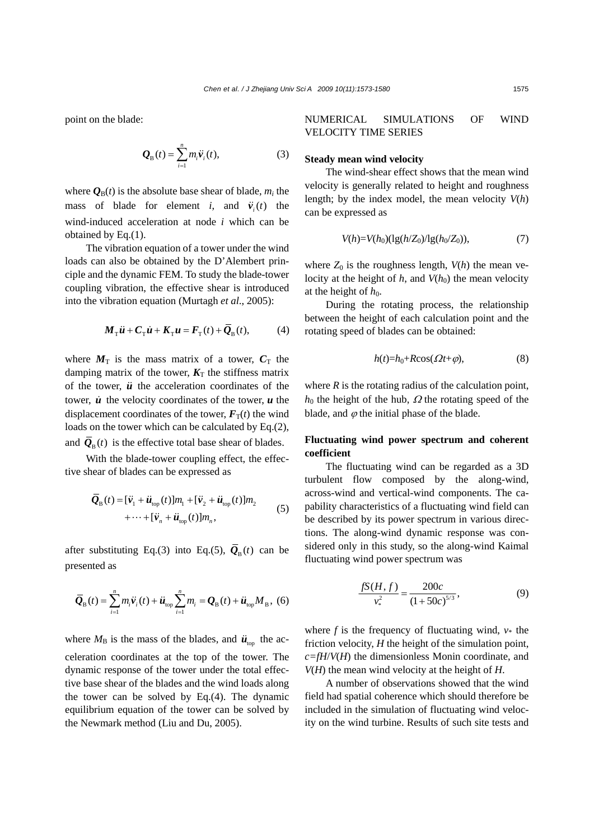point on the blade:

$$
\mathbf{Q}_{\mathrm{B}}(t) = \sum_{i=1}^{n} m_{i} \ddot{\mathbf{v}}_{i}(t), \qquad (3)
$$

where  $Q_{\text{B}}(t)$  is the absolute base shear of blade,  $m_i$  the mass of blade for element *i*, and  $\ddot{v}(t)$  the wind-induced acceleration at node *i* which can be obtained by Eq.(1).

The vibration equation of a tower under the wind loads can also be obtained by the D'Alembert principle and the dynamic FEM. To study the blade-tower coupling vibration, the effective shear is introduced into the vibration equation (Murtagh *et al*., 2005):

$$
\boldsymbol{M}_{\mathrm{T}} \boldsymbol{\ddot{u}} + \boldsymbol{C}_{\mathrm{T}} \boldsymbol{\dot{u}} + \boldsymbol{K}_{\mathrm{T}} \boldsymbol{u} = \boldsymbol{F}_{\mathrm{T}}(t) + \boldsymbol{Q}_{\mathrm{B}}(t), \tag{4}
$$

where  $M_T$  is the mass matrix of a tower,  $C_T$  the damping matrix of the tower,  $K_T$  the stiffness matrix of the tower,  $\ddot{u}$  the acceleration coordinates of the tower,  $\dot{u}$  the velocity coordinates of the tower,  $u$  the displacement coordinates of the tower,  $F_T(t)$  the wind loads on the tower which can be calculated by Eq.(2), and  $\overline{\mathbf{O}}_{\text{p}}(t)$  is the effective total base shear of blades.

With the blade-tower coupling effect, the effective shear of blades can be expressed as

$$
\overline{Q}_{\text{B}}(t) = [\ddot{v}_1 + \ddot{u}_{\text{top}}(t)]m_1 + [\ddot{v}_2 + \ddot{u}_{\text{top}}(t)]m_2
$$
  
+ \cdots + [\ddot{v}\_n + \ddot{u}\_{\text{top}}(t)]m\_n, (5)

after substituting Eq.(3) into Eq.(5),  $\overline{Q}_R(t)$  can be presented as

$$
\overline{Q}_{\rm B}(t) = \sum_{i=1}^{n} m_{i} \ddot{v}_{i}(t) + \ddot{u}_{\rm top} \sum_{i=1}^{n} m_{i} = Q_{\rm B}(t) + \ddot{u}_{\rm top} M_{\rm B}, \tag{6}
$$

where  $M_{\rm B}$  is the mass of the blades, and  $\ddot{u}_{\rm top}$  the acceleration coordinates at the top of the tower. The dynamic response of the tower under the total effective base shear of the blades and the wind loads along the tower can be solved by Eq.(4). The dynamic equilibrium equation of the tower can be solved by the Newmark method (Liu and Du, 2005).

# NUMERICAL SIMULATIONS OF WIND VELOCITY TIME SERIES

#### **Steady mean wind velocity**

The wind-shear effect shows that the mean wind velocity is generally related to height and roughness length; by the index model, the mean velocity *V*(*h*) can be expressed as

$$
V(h)=V(h_0)(\lg(h/Z_0)/\lg(h_0/Z_0)),\tag{7}
$$

where  $Z_0$  is the roughness length,  $V(h)$  the mean velocity at the height of  $h$ , and  $V(h_0)$  the mean velocity at the height of  $h_0$ .

During the rotating process, the relationship between the height of each calculation point and the rotating speed of blades can be obtained:

$$
h(t)=h_0+R\cos(\Omega t+\varphi),\qquad \qquad (8)
$$

where  $R$  is the rotating radius of the calculation point,  $h_0$  the height of the hub,  $\Omega$  the rotating speed of the blade, and  $\varphi$  the initial phase of the blade.

## **Fluctuating wind power spectrum and coherent coefficient**

The fluctuating wind can be regarded as a 3D turbulent flow composed by the along-wind, across-wind and vertical-wind components. The capability characteristics of a fluctuating wind field can be described by its power spectrum in various directions. The along-wind dynamic response was considered only in this study, so the along-wind Kaimal fluctuating wind power spectrum was

$$
\frac{fS(H,f)}{v_*^2} = \frac{200c}{(1+50c)^{5/3}},
$$
\n(9)

where  $f$  is the frequency of fluctuating wind,  $v^*$  the friction velocity, *H* the height of the simulation point, *c=fH*/*V*(*H*) the dimensionless Monin coordinate, and *V*(*H*) the mean wind velocity at the height of *H*.

A number of observations showed that the wind field had spatial coherence which should therefore be included in the simulation of fluctuating wind velocity on the wind turbine. Results of such site tests and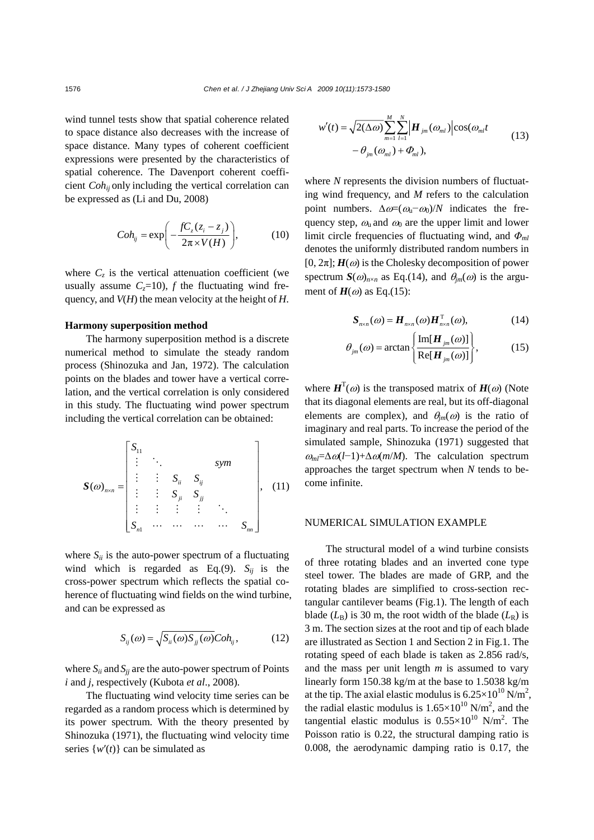wind tunnel tests show that spatial coherence related to space distance also decreases with the increase of space distance. Many types of coherent coefficient expressions were presented by the characteristics of spatial coherence. The Davenport coherent coefficient *Cohij* only including the vertical correlation can be expressed as (Li and Du, 2008)

$$
Coh_{ij} = \exp\left(-\frac{fC_z(z_i - z_j)}{2\pi \times V(H)}\right),\tag{10}
$$

where  $C_z$  is the vertical attenuation coefficient (we usually assume  $C_z$ =10),  $f$  the fluctuating wind frequency, and *V*(*H*) the mean velocity at the height of *H*.

#### **Harmony superposition method**

The harmony superposition method is a discrete numerical method to simulate the steady random process (Shinozuka and Jan, 1972). The calculation points on the blades and tower have a vertical correlation, and the vertical correlation is only considered in this study. The fluctuating wind power spectrum including the vertical correlation can be obtained:

$$
\mathbf{S}(\omega)_{n \times n} = \begin{bmatrix} S_{11} & & & & & & & \\ \vdots & \ddots & & & & & \\ \vdots & \vdots & S_{ij} & S_{ij} & & & \\ \vdots & \vdots & S_{ji} & S_{jj} & & \\ \vdots & \vdots & \vdots & \vdots & \ddots & \\ S_{n1} & \cdots & \cdots & \cdots & \cdots & S_{nn} \end{bmatrix}, (11)
$$

where  $S_{ii}$  is the auto-power spectrum of a fluctuating wind which is regarded as Eq.(9).  $S_{ij}$  is the cross-power spectrum which reflects the spatial coherence of fluctuating wind fields on the wind turbine, and can be expressed as

$$
S_{ij}(\omega) = \sqrt{S_{ii}(\omega) S_{jj}(\omega)} Coh_{ij}, \qquad (12)
$$

where  $S_{ii}$  and  $S_{jj}$  are the auto-power spectrum of Points *i* and *j*, respectively (Kubota *et al*., 2008).

The fluctuating wind velocity time series can be regarded as a random process which is determined by its power spectrum. With the theory presented by Shinozuka (1971), the fluctuating wind velocity time series  $\{w'(t)\}\)$  can be simulated as

$$
w'(t) = \sqrt{2(\Delta \omega)} \sum_{m=1}^{M} \sum_{l=1}^{N} \left| \boldsymbol{H}_{jm}(\omega_{ml}) \right| \cos(\omega_{ml} t - \theta_{jm}(\omega_{ml}) + \Phi_{ml}), \qquad (13)
$$

where *N* represents the division numbers of fluctuating wind frequency, and *M* refers to the calculation point numbers.  $\Delta \omega = (\omega_{\rm u} - \omega_0)/N$  indicates the frequency step,  $\omega_{\rm u}$  and  $\omega_{\rm 0}$  are the upper limit and lower limit circle frequencies of fluctuating wind, and *Φml* denotes the uniformly distributed random numbers in [0,  $2\pi$ ];  $H(\omega)$  is the Cholesky decomposition of power spectrum  $S(\omega)_{n \times n}$  as Eq.(14), and  $\theta_{jm}(\omega)$  is the argument of  $H(\omega)$  as Eq.(15):

$$
\mathbf{S}_{n \times n}(\omega) = \boldsymbol{H}_{n \times n}(\omega) \boldsymbol{H}_{n \times n}^{\mathrm{T}}(\omega), \tag{14}
$$

$$
\theta_{jm}(\omega) = \arctan\left\{\frac{\text{Im}[\boldsymbol{H}_{jm}(\omega)]}{\text{Re}[\boldsymbol{H}_{jm}(\omega)]}\right\},\tag{15}
$$

where  $\mathbf{H}^{\text{T}}(\omega)$  is the transposed matrix of  $\mathbf{H}(\omega)$  (Note that its diagonal elements are real, but its off-diagonal elements are complex), and  $\theta_{im}(\omega)$  is the ratio of imaginary and real parts. To increase the period of the simulated sample, Shinozuka (1971) suggested that <sup>ω</sup>*ml*=Δω(*l*−1)+Δω(*m*/*M*). The calculation spectrum approaches the target spectrum when *N* tends to become infinite.

## NUMERICAL SIMULATION EXAMPLE

The structural model of a wind turbine consists of three rotating blades and an inverted cone type steel tower. The blades are made of GRP, and the rotating blades are simplified to cross-section rectangular cantilever beams (Fig.1). The length of each blade  $(L_B)$  is 30 m, the root width of the blade  $(L_R)$  is 3 m. The section sizes at the root and tip of each blade are illustrated as Section 1 and Section 2 in Fig.1. The rotating speed of each blade is taken as 2.856 rad/s, and the mass per unit length *m* is assumed to vary linearly form 150.38 kg/m at the base to 1.5038 kg/m at the tip. The axial elastic modulus is  $6.25 \times 10^{10}$  N/m<sup>2</sup>, the radial elastic modulus is  $1.65 \times 10^{10}$  N/m<sup>2</sup>, and the tangential elastic modulus is  $0.55 \times 10^{10}$  N/m<sup>2</sup>. The Poisson ratio is 0.22, the structural damping ratio is 0.008, the aerodynamic damping ratio is 0.17, the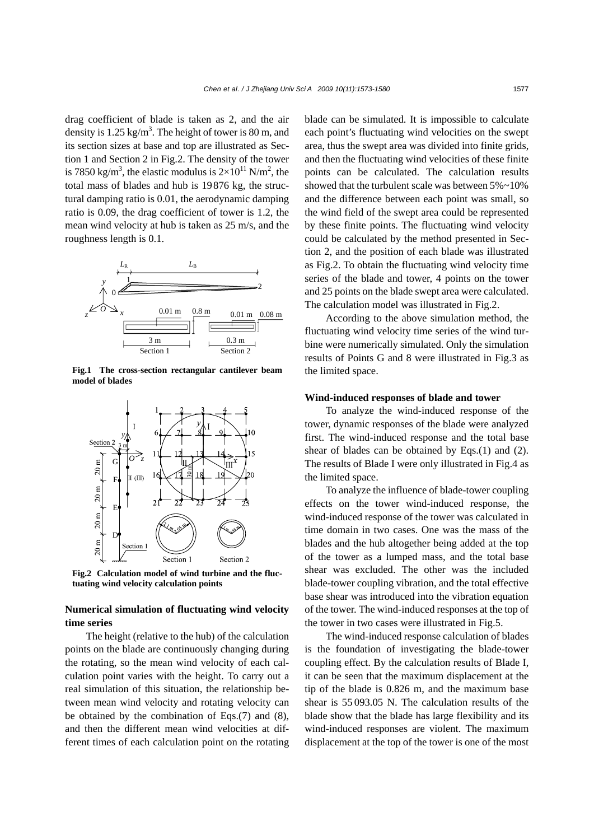drag coefficient of blade is taken as 2, and the air density is  $1.25 \text{ kg/m}^3$ . The height of tower is 80 m, and its section sizes at base and top are illustrated as Section 1 and Section 2 in Fig.2. The density of the tower is 7850 kg/m<sup>3</sup>, the elastic modulus is  $2\times10^{11}$  N/m<sup>2</sup>, the total mass of blades and hub is 19876 kg, the structural damping ratio is 0.01, the aerodynamic damping ratio is 0.09, the drag coefficient of tower is 1.2, the mean wind velocity at hub is taken as 25 m/s, and the roughness length is 0.1.



**Fig.1 The cross-section rectangular cantilever beam model of blades**



**Fig.2 Calculation model of wind turbine and the fluctuating wind velocity calculation points** 

## **Numerical simulation of fluctuating wind velocity time series**

The height (relative to the hub) of the calculation points on the blade are continuously changing during the rotating, so the mean wind velocity of each calculation point varies with the height. To carry out a real simulation of this situation, the relationship between mean wind velocity and rotating velocity can be obtained by the combination of Eqs.(7) and (8), and then the different mean wind velocities at different times of each calculation point on the rotating blade can be simulated. It is impossible to calculate each point's fluctuating wind velocities on the swept area, thus the swept area was divided into finite grids, and then the fluctuating wind velocities of these finite points can be calculated. The calculation results showed that the turbulent scale was between 5%~10% and the difference between each point was small, so the wind field of the swept area could be represented by these finite points. The fluctuating wind velocity could be calculated by the method presented in Section 2, and the position of each blade was illustrated as Fig.2. To obtain the fluctuating wind velocity time series of the blade and tower, 4 points on the tower and 25 points on the blade swept area were calculated. The calculation model was illustrated in Fig.2.

According to the above simulation method, the fluctuating wind velocity time series of the wind turbine were numerically simulated. Only the simulation results of Points G and 8 were illustrated in Fig.3 as the limited space.

#### **Wind-induced responses of blade and tower**

To analyze the wind-induced response of the tower, dynamic responses of the blade were analyzed first. The wind-induced response and the total base shear of blades can be obtained by Eqs.(1) and (2). The results of Blade I were only illustrated in Fig.4 as the limited space.

To analyze the influence of blade-tower coupling effects on the tower wind-induced response, the wind-induced response of the tower was calculated in time domain in two cases. One was the mass of the blades and the hub altogether being added at the top of the tower as a lumped mass, and the total base shear was excluded. The other was the included blade-tower coupling vibration, and the total effective base shear was introduced into the vibration equation of the tower. The wind-induced responses at the top of the tower in two cases were illustrated in Fig.5.

The wind-induced response calculation of blades is the foundation of investigating the blade-tower coupling effect. By the calculation results of Blade I, it can be seen that the maximum displacement at the tip of the blade is 0.826 m, and the maximum base shear is 55 093.05 N. The calculation results of the blade show that the blade has large flexibility and its wind-induced responses are violent. The maximum displacement at the top of the tower is one of the most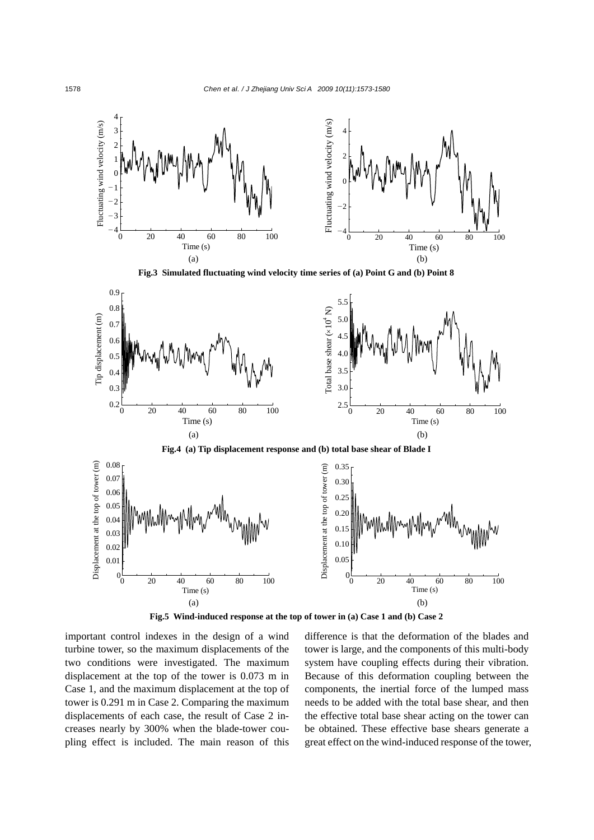

**Fig.3 Simulated fluctuating wind velocity time series of (a) Point G and (b) Point 8** 



**Fig.5 Wind-induced response at the top of tower in (a) Case 1 and (b) Case 2**

important control indexes in the design of a wind turbine tower, so the maximum displacements of the two conditions were investigated. The maximum displacement at the top of the tower is 0.073 m in Case 1, and the maximum displacement at the top of tower is 0.291 m in Case 2. Comparing the maximum displacements of each case, the result of Case 2 increases nearly by 300% when the blade-tower coupling effect is included. The main reason of this

difference is that the deformation of the blades and tower is large, and the components of this multi-body system have coupling effects during their vibration. Because of this deformation coupling between the components, the inertial force of the lumped mass needs to be added with the total base shear, and then the effective total base shear acting on the tower can be obtained. These effective base shears generate a great effect on the wind-induced response of the tower,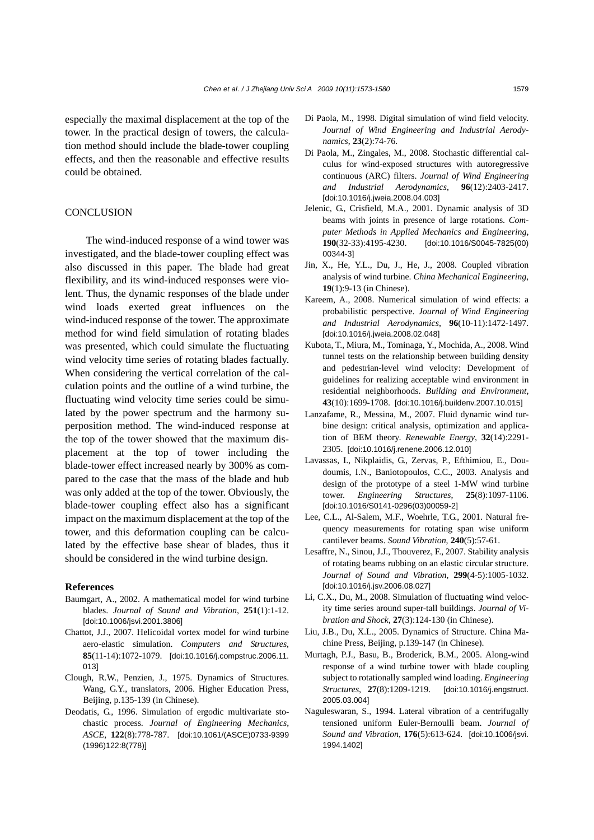especially the maximal displacement at the top of the tower. In the practical design of towers, the calculation method should include the blade-tower coupling effects, and then the reasonable and effective results could be obtained.

### **CONCLUSION**

The wind-induced response of a wind tower was investigated, and the blade-tower coupling effect was also discussed in this paper. The blade had great flexibility, and its wind-induced responses were violent. Thus, the dynamic responses of the blade under wind loads exerted great influences on the wind-induced response of the tower. The approximate method for wind field simulation of rotating blades was presented, which could simulate the fluctuating wind velocity time series of rotating blades factually. When considering the vertical correlation of the calculation points and the outline of a wind turbine, the fluctuating wind velocity time series could be simulated by the power spectrum and the harmony superposition method. The wind-induced response at the top of the tower showed that the maximum displacement at the top of tower including the blade-tower effect increased nearly by 300% as compared to the case that the mass of the blade and hub was only added at the top of the tower. Obviously, the blade-tower coupling effect also has a significant impact on the maximum displacement at the top of the tower, and this deformation coupling can be calculated by the effective base shear of blades, thus it should be considered in the wind turbine design.

#### **References**

- Baumgart, A., 2002. A mathematical model for wind turbine blades. *Journal of Sound and Vibration*, **251**(1):1-12. [doi:10.1006/jsvi.2001.3806]
- Chattot, J.J., 2007. Helicoidal vortex model for wind turbine aero-elastic simulation. *Computers and Structures*, **85**(11-14):1072-1079. [doi:10.1016/j.compstruc.2006.11. 013]
- Clough, R.W., Penzien, J., 1975. Dynamics of Structures. Wang, G.Y., translators, 2006. Higher Education Press, Beijing, p.135-139 (in Chinese).
- Deodatis, G., 1996. Simulation of ergodic multivariate stochastic process. *Journal of Engineering Mechanics*, *ASCE*, **122**(8):778-787. [doi:10.1061/(ASCE)0733-9399 (1996)122:8(778)]
- Di Paola, M., 1998. Digital simulation of wind field velocity. *Journal of Wind Engineering and Industrial Aerodynamics*, **23**(2):74-76.
- Di Paola, M., Zingales, M., 2008. Stochastic differential calculus for wind-exposed structures with autoregressive continuous (ARC) filters. *Journal of Wind Engineering and Industrial Aerodynamics*, **96**(12):2403-2417. [doi:10.1016/j.jweia.2008.04.003]
- Jelenic, G., Crisfield, M.A., 2001. Dynamic analysis of 3D beams with joints in presence of large rotations. *Computer Methods in Applied Mechanics and Engineering*, **190**(32-33):4195-4230. [doi:10.1016/S0045-7825(00) 00344-3]
- Jin, X., He, Y.L., Du, J., He, J., 2008. Coupled vibration analysis of wind turbine. *China Mechanical Engineering*, **19**(1):9-13 (in Chinese).
- Kareem, A., 2008. Numerical simulation of wind effects: a probabilistic perspective. *Journal of Wind Engineering and Industrial Aerodynamics*, **96**(10-11):1472-1497. [doi:10.1016/j.jweia.2008.02.048]
- Kubota, T., Miura, M., Tominaga, Y., Mochida, A., 2008. Wind tunnel tests on the relationship between building density and pedestrian-level wind velocity: Development of guidelines for realizing acceptable wind environment in residential neighborhoods. *Building and Environment*, **43**(10):1699-1708. [doi:10.1016/j.buildenv.2007.10.015]
- Lanzafame, R., Messina, M., 2007. Fluid dynamic wind turbine design: critical analysis, optimization and application of BEM theory. *Renewable Energy*, **32**(14):2291- 2305. [doi:10.1016/j.renene.2006.12.010]
- Lavassas, I., Nikplaidis, G., Zervas, P., Efthimiou, E., Doudoumis, I.N., Baniotopoulos, C.C., 2003. Analysis and design of the prototype of a steel 1-MW wind turbine tower. *Engineering Structures*, **25**(8):1097-1106. [doi:10.1016/S0141-0296(03)00059-2]
- Lee, C.L., Al-Salem, M.F., Woehrle, T.G., 2001. Natural frequency measurements for rotating span wise uniform cantilever beams. *Sound Vibration*, **240**(5):57-61.
- Lesaffre, N., Sinou, J.J., Thouverez, F., 2007. Stability analysis of rotating beams rubbing on an elastic circular structure. *Journal of Sound and Vibration*, **299**(4-5):1005-1032. [doi:10.1016/j.jsv.2006.08.027]
- Li, C.X., Du, M., 2008. Simulation of fluctuating wind velocity time series around super-tall buildings. *Journal of Vibration and Shock*, **27**(3):124-130 (in Chinese).
- Liu, J.B., Du, X.L., 2005. Dynamics of Structure. China Machine Press, Beijing, p.139-147 (in Chinese).
- Murtagh, P.J., Basu, B., Broderick, B.M., 2005. Along-wind response of a wind turbine tower with blade coupling subject to rotationally sampled wind loading. *Engineering Structures*, **27**(8):1209-1219. [doi:10.1016/j.engstruct. 2005.03.004]
- Naguleswaran, S., 1994. Lateral vibration of a centrifugally tensioned uniform Euler-Bernoulli beam. *Journal of Sound and Vibration*, **176**(5):613-624. [doi:10.1006/jsvi. 1994.1402]